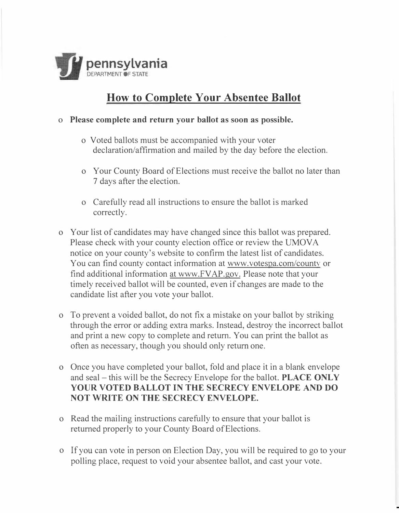

## **How to Complete Your Absentee Ballot**

## **o Please complete and return your ballot as soon as possible.**

- o Voted ballots must be accompanied with your voter declaration/affirmation and mailed by the day before the election.
- o Your County Board of Elections must receive the ballot no later than 7 days after the election.
- o Carefully read all instructions to ensure the ballot is marked correctly.
- o Your list of candidates may have changed since this ballot was prepared. Please check with your county election office or review the UMOVA notice on your county's website to confirm the latest list of candidates. You can find county contact information at www.votespa.com/county or find additional information at www.FVAP.gov. Please note that your timely received ballot will be counted, even if changes are made to the candidate list after you vote your ballot.
- o To prevent a voided ballot, do not fix a mistake on your ballot by striking through the error or adding extra marks. Instead, destroy the incorrect ballot and print a new copy to complete and return. You can print the ballot as often as necessary, though you should only return one.
- o Once you have completed your ballot, fold and place it in a blank envelope and seal - this will be the Secrecy Envelope for the ballot. **PLACE ONLY YOUR VOTED BALLOT IN THE SECRECY ENVELOPE AND DO NOT WRITE ON THE SECRECY ENVELOPE.**
- o Read the mailing instructions carefully to ensure that your ballot is returned properly to your County Board of Elections.
- o If you can vote in person on Election Day, you will be required to go to your polling place, request to void your absentee ballot, and cast your vote.